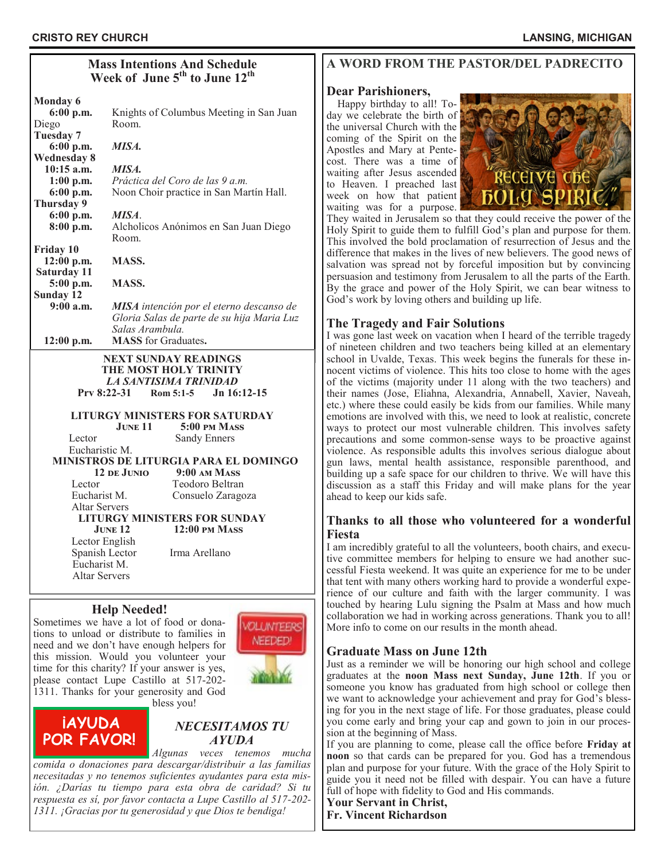#### **Mass Intentions And Schedule Week of June 5th to June 12th Monday 6 6:00 p.m.** Knights of Columbus Meeting in San Juan Diego Room. **Tuesday 7 6:00 p.m.** *MISA.* **Wednesday 8 10:15 a.m.** *MISA.*  **1:00 p.m.** *Práctica del Coro de las 9 a.m.* **6:00 p.m.** Noon Choir practice in San Martín Hall. **Thursday 9 6:00 p.m.** *MISA*. **8:00 p.m.** Alcholicos Anónimos en San Juan Diego Room. **Friday 10 12:00 p.m. MASS. Saturday 11 5:00 p.m. MASS. Sunday 12 9:00 a.m.** *MISA intención por el eterno descanso de Gloria Salas de parte de su hija Maria Luz Salas Arambula.* **12:00 p.m. MASS** for Graduates**.** **NEXT SUNDAY READINGS THE MOST HOLY TRINITY** *LA SANTISIMA TRINIDAD* **Prv 8:22-31 [Rom 5:1](https://bible.usccb.org/bible/revelation/1?9)-5 Jn 16:12-15 LITURGY MINISTERS FOR SATURDAY June 11 5:00 pm Mass** Lector Sandy Enners Eucharistic M. **MINISTROS DE LITURGIA PARA EL DOMINGO 12 de Junio 9:00 am Mass** Lector Teodoro Beltran Eucharist M. Consuelo Zaragoza

#### **LITURGY MINISTERS FOR SUNDAY JUNE 12** 12:00 PM MASS

 Lector English Spanish Lector Irma Arellano Eucharist M. Altar Servers

Altar Servers

# **Help Needed!**

Sometimes we have a lot of food or donations to unload or distribute to families in need and we don't have enough helpers for this mission. Would you volunteer your time for this charity? If your answer is yes, please contact Lupe Castillo at 517-202- 1311. Thanks for your generosity and God



bless you!



# *NECESITAMOS TU AYUDA*

*Algunas veces tenemos mucha comida o donaciones para descargar/distribuir a las familias necesitadas y no tenemos suficientes ayudantes para esta misión. ¿Darías tu tiempo para esta obra de caridad? Si tu respuesta es sí, por favor contacta a Lupe Castillo al 517-202- 1311. ¡Gracias por tu generosidad y que Dios te bendiga!*

# **A WORD FROM THE PASTOR/DEL PADRECITO**

# **Dear Parishioners,**

 Happy birthday to all! Today we celebrate the birth of the universal Church with the coming of the Spirit on the Apostles and Mary at Pentecost. There was a time of waiting after Jesus ascended to Heaven. I preached last week on how that patient waiting was for a purpose.



They waited in Jerusalem so that they could receive the power of the Holy Spirit to guide them to fulfill God's plan and purpose for them. This involved the bold proclamation of resurrection of Jesus and the difference that makes in the lives of new believers. The good news of salvation was spread not by forceful imposition but by convincing persuasion and testimony from Jerusalem to all the parts of the Earth. By the grace and power of the Holy Spirit, we can bear witness to God's work by loving others and building up life.

# **The Tragedy and Fair Solutions**

I was gone last week on vacation when I heard of the terrible tragedy of nineteen children and two teachers being killed at an elementary school in Uvalde, Texas. This week begins the funerals for these innocent victims of violence. This hits too close to home with the ages of the victims (majority under 11 along with the two teachers) and their names (Jose, Eliahna, Alexandria, Annabell, Xavier, Naveah, etc.) where these could easily be kids from our families. While many emotions are involved with this, we need to look at realistic, concrete ways to protect our most vulnerable children. This involves safety precautions and some common-sense ways to be proactive against violence. As responsible adults this involves serious dialogue about gun laws, mental health assistance, responsible parenthood, and building up a safe space for our children to thrive. We will have this discussion as a staff this Friday and will make plans for the year ahead to keep our kids safe.

## **Thanks to all those who volunteered for a wonderful Fiesta**

I am incredibly grateful to all the volunteers, booth chairs, and executive committee members for helping to ensure we had another successful Fiesta weekend. It was quite an experience for me to be under that tent with many others working hard to provide a wonderful experience of our culture and faith with the larger community. I was touched by hearing Lulu signing the Psalm at Mass and how much collaboration we had in working across generations. Thank you to all! More info to come on our results in the month ahead.

# **Graduate Mass on June 12th**

Just as a reminder we will be honoring our high school and college graduates at the **noon Mass next Sunday, June 12th**. If you or someone you know has graduated from high school or college then we want to acknowledge your achievement and pray for God's blessing for you in the next stage of life. For those graduates, please could you come early and bring your cap and gown to join in our procession at the beginning of Mass.

If you are planning to come, please call the office before **Friday at noon** so that cards can be prepared for you. God has a tremendous plan and purpose for your future. With the grace of the Holy Spirit to guide you it need not be filled with despair. You can have a future full of hope with fidelity to God and His commands.

# **Your Servant in Christ,**

**Fr. Vincent Richardson**